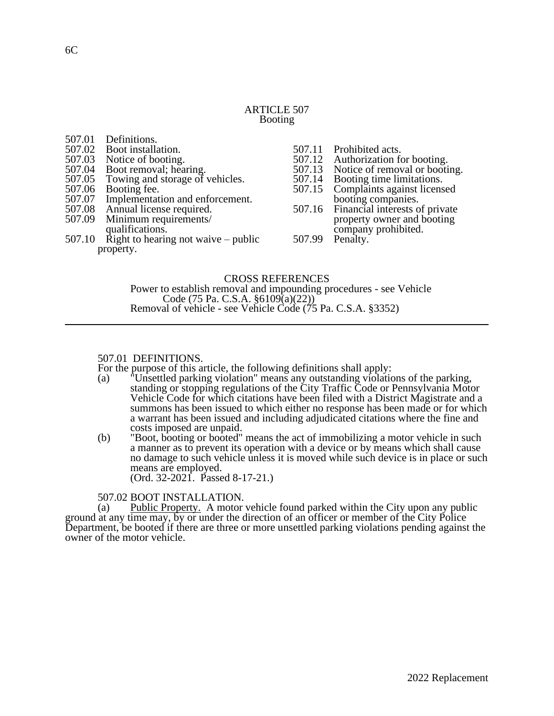## ARTICLE 507 Booting

| 507.01    | Definitions.                          |        |                                       |  |
|-----------|---------------------------------------|--------|---------------------------------------|--|
| 507.02    | Boot installation.                    | 507.11 | Prohibited acts.                      |  |
| 507.03    | Notice of booting.                    |        | 507.12 Authorization for booting.     |  |
|           | 507.04 Boot removal; hearing.         | 507.13 | Notice of removal or booting.         |  |
| 507.05    | Towing and storage of vehicles.       |        | 507.14 Booting time limitations.      |  |
| 507.06    | Booting fee.                          | 507.15 | Complaints against licensed           |  |
| 507.07    | Implementation and enforcement.       |        | booting companies.                    |  |
|           | 507.08 Annual license required.       |        | 507.16 Financial interests of private |  |
| 507.09    | Minimum requirements/                 |        | property owner and booting            |  |
|           | qualifications.                       |        | company prohibited.                   |  |
| 507.10    | Right to hearing not waive $-$ public | 507.99 | Penalty.                              |  |
| property. |                                       |        |                                       |  |
|           |                                       |        |                                       |  |

# CROSS REFERENCES

Power to establish removal and impounding procedures - see Vehicle Code (75 Pa. C.S.A. §6109(a)(22)) Removal of vehicle - see Vehicle Code (75 Pa. C.S.A. §3352)

## 507.01 DEFINITIONS.

For the purpose of this article, the following definitions shall apply:<br>(a) "Unsettled parking violation" means any outstanding violation

- (a) "Unsettled parking violation" means any outstanding violations of the parking, standing or stopping regulations of the City Traffic Code or Pennsylvania Motor Vehicle Code for which citations have been filed with a District Magistrate and a summons has been issued to which either no response has been made or for which a warrant has been issued and including adjudicated citations where the fine and costs imposed are unpaid.
- (b) "Boot, booting or booted" means the act of immobilizing a motor vehicle in such a manner as to prevent its operation with a device or by means which shall cause no damage to such vehicle unless it is moved while such device is in place or such means are employed. (Ord. 32-2021. Passed 8-17-21.)

507.02 BOOT INSTALLATION.

(a) Public Property. A motor vehicle found parked within the City upon any public ground at any time may, by or under the direction of an officer or member of the City Police Department, be booted if there are three or more unsettled parking violations pending against the owner of the motor vehicle.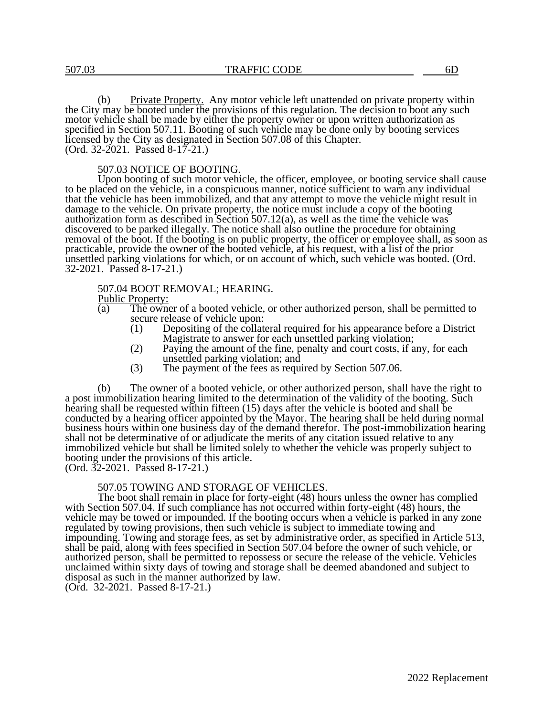(b) Private Property. Any motor vehicle left unattended on private property within the City may be booted under the provisions of this regulation. The decision to boot any such motor vehicle shall be made by either the property owner or upon written authorization as specified in Section 507.11. Booting of such vehicle may be done only by booting services licensed by the City as designated in Section 507.08 of this Chapter. (Ord. 32-2021. Passed 8-17-21.)

#### 507.03 NOTICE OF BOOTING.

Upon booting of such motor vehicle, the officer, employee, or booting service shall cause to be placed on the vehicle, in a conspicuous manner, notice sufficient to warn any individual that the vehicle has been immobilized, and that any attempt to move the vehicle might result in damage to the vehicle. On private property, the notice must include a copy of the booting authorization form as described in Section 507.12(a), as well as the time the vehicle was discovered to be parked illegally. The notice shall also outline the procedure for obtaining removal of the boot. If the booting is on public property, the officer or employee shall, as soon as practicable, provide the owner of the booted vehicle, at his request, with a list of the prior unsettled parking violations for which, or on account of which, such vehicle was booted. (Ord. 32-2021. Passed 8-17-21.)

### 507.04 BOOT REMOVAL; HEARING.

 $\frac{\text{Public Property:}}{\text{(a)}}$ 

- The owner of a booted vehicle, or other authorized person, shall be permitted to secure release of vehicle upon:
	- (1) Depositing of the collateral required for his appearance before a District Magistrate to answer for each unsettled parking violation;
	- (2) Paying the amount of the fine, penalty and court costs, if any, for each unsettled parking violation; and
	- (3) The payment of the fees as required by Section 507.06.

(b) The owner of a booted vehicle, or other authorized person, shall have the right to a post immobilization hearing limited to the determination of the validity of the booting. Such hearing shall be requested within fifteen (15) days after the vehicle is booted and shall be conducted by a hearing officer appointed by the Mayor. The hearing shall be held during normal business hours within one business day of the demand therefor. The post-immobilization hearing shall not be determinative of or adjudicate the merits of any citation issued relative to any immobilized vehicle but shall be limited solely to whether the vehicle was properly subject to booting under the provisions of this article.

(Ord. 32-2021. Passed 8-17-21.)

#### 507.05 TOWING AND STORAGE OF VEHICLES.

The boot shall remain in place for forty-eight (48) hours unless the owner has complied with Section 507.04. If such compliance has not occurred within forty-eight (48) hours, the vehicle may be towed or impounded. If the booting occurs when a vehicle is parked in any zone regulated by towing provisions, then such vehicle is subject to immediate towing and impounding. Towing and storage fees, as set by administrative order, as specified in Article 513, shall be paid, along with fees specified in Section 507.04 before the owner of such vehicle, or authorized person, shall be permitted to repossess or secure the release of the vehicle. Vehicles unclaimed within sixty days of towing and storage shall be deemed abandoned and subject to disposal as such in the manner authorized by law.

(Ord. 32-2021. Passed 8-17-21.)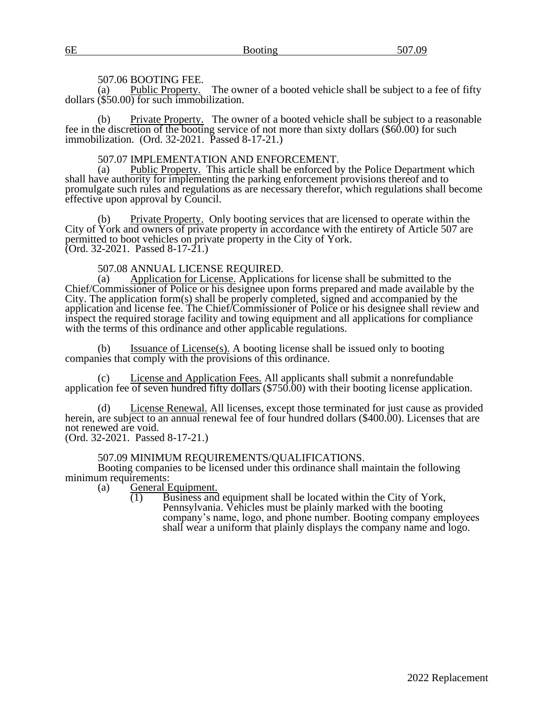### 507.06 BOOTING FEE.

(a) Public Property. The owner of a booted vehicle shall be subject to a fee of fifty dollars  $(\$50.00)$  for such immobilization.

(b) Private Property. The owner of a booted vehicle shall be subject to a reasonable fee in the discretion of the booting service of not more than sixty dollars (\$60.00) for such immobilization. (Ord. 32-2021. Passed 8-17-21.)

### 507.07 IMPLEMENTATION AND ENFORCEMENT.

(a) Public Property. This article shall be enforced by the Police Department which shall have authority for implementing the parking enforcement provisions thereof and to promulgate such rules and regulations as are necessary therefor, which regulations shall become effective upon approval by Council.

(b) Private Property. Only booting services that are licensed to operate within the City of York and owners of private property in accordance with the entirety of Article 507 are permitted to boot vehicles on private property in the City of York. (Ord. 32-2021. Passed 8-17-21.)

507.08 ANNUAL LICENSE REQUIRED.

(a) Application for License. Applications for license shall be submitted to the Chief/Commissioner of Police or his designee upon forms prepared and made available by the City. The application form(s) shall be properly completed, signed and accompanied by the application and license fee. The Chief/Commissioner of Police or his designee shall review and inspect the required storage facility and towing equipment and all applications for compliance with the terms of this ordinance and other applicable regulations.

(b) Issuance of License(s). A booting license shall be issued only to booting companies that comply with the provisions of this ordinance.

License and Application Fees. All applicants shall submit a nonrefundable application fee of seven hundred fifty dollars (\$750.00) with their booting license application.

(d) License Renewal. All licenses, except those terminated for just cause as provided herein, are subject to an annual renewal fee of four hundred dollars (\$400.00). Licenses that are not renewed are void.

(Ord. 32-2021. Passed 8-17-21.)

# 507.09 MINIMUM REQUIREMENTS/QUALIFICATIONS.

Booting companies to be licensed under this ordinance shall maintain the following minimum requirements:<br>(a) General E

General Equipment.

 $\overline{(1)}$  Business and equipment shall be located within the City of York, Pennsylvania. Vehicles must be plainly marked with the booting company's name, logo, and phone number. Booting company employees shall wear a uniform that plainly displays the company name and logo.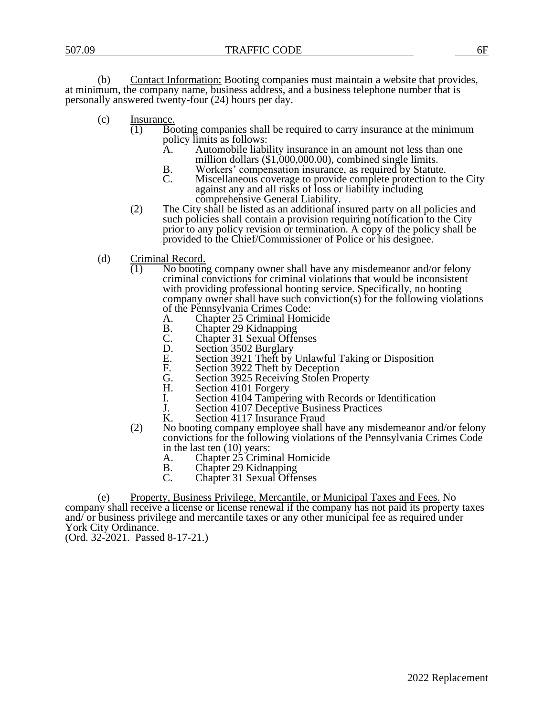(b) Contact Information: Booting companies must maintain a website that provides, at minimum, the company name, business address, and a business telephone number that is personally answered twenty-four (24) hours per day.

- (c) Insurance.
	- $\overline{(1)}$  Booting companies shall be required to carry insurance at the minimum policy limits as follows:
		- A. Automobile liability insurance in an amount not less than one million dollars (\$1,000,000.00), combined single limits.
		- B. Workers' compensation insurance, as required by Statute.<br>C. Miscellaneous coverage to provide complete protection to
		- Miscellaneous coverage to provide complete protection to the City against any and all risks of loss or liability including comprehensive General Liability.
	- (2) The City shall be listed as an additional insured party on all policies and such policies shall contain a provision requiring notification to the City prior to any policy revision or termination. A copy of the policy shall be provided to the Chief/Commissioner of Police or his designee.
- (d) Criminal Record.
	- (1) No booting company owner shall have any misdemeanor and/or felony criminal convictions for criminal violations that would be inconsistent with providing professional booting service. Specifically, no booting company owner shall have such conviction(s) for the following violations of the Pennsylvania Crimes Code:<br>A. Chapter 25 Criminal Homi
		- A. Chapter 25 Criminal Homicide<br>B. Chapter 29 Kidnapping
		- B. Chapter 29 Kidnapping
		- C. Chapter 31 Sexual Offenses
		- D. Section 3502 Burglary
		- E. Section 3921 Theft by Unlawful Taking or Disposition
		- F. Section 3922 Theft by Deception
		- G. Section 3925 Receiving Stolen Property<br>H. Section 4101 Forgery
		- Section 4101 Forgery
		- I. Section 4104 Tampering with Records or Identification<br>
		J. Section 4107 Deceptive Business Practices
		- J. Section 4107 Deceptive Business Practices<br>K. Section 4117 Insurance Fraud
		- Section 4117 Insurance Fraud
	- (2) No booting company employee shall have any misdemeanor and/or felony convictions for the following violations of the Pennsylvania Crimes Code in the last ten (10) years:
		- A. Chapter 25 Criminal Homicide
		- B. Chapter 29 Kidnapping
		- C. Chapter 31 Sexual Offenses

(e) Property, Business Privilege, Mercantile, or Municipal Taxes and Fees. No company shall receive a license or license renewal if the company has not paid its property taxes and/ or business privilege and mercantile taxes or any other municipal fee as required under York City Ordinance.

(Ord. 32-2021. Passed 8-17-21.)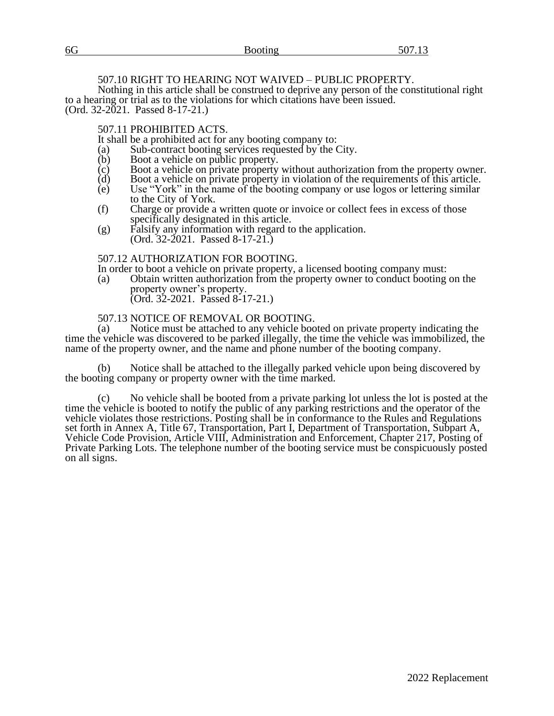| 6G | $F \cap T$ 1.0 |
|----|----------------|
|    |                |

# 507.10 RIGHT TO HEARING NOT WAIVED – PUBLIC PROPERTY.

Nothing in this article shall be construed to deprive any person of the constitutional right to a hearing or trial as to the violations for which citations have been issued. (Ord. 32-2021. Passed 8-17-21.)

# 507.11 PROHIBITED ACTS.

It shall be a prohibited act for any booting company to:

- (a) Sub-contract booting services requested by the City.<br>
(b) Boot a vehicle on public property.
- $\phi$  Boot a vehicle on public property.<br>  $\phi$  Boot a vehicle on private property
- $\overrightarrow{c}$  Boot a vehicle on private property without authorization from the property owner.<br>
(d) Boot a vehicle on private property in violation of the requirements of this article.
- (d) Boot a vehicle on private property in violation of the requirements of this article.<br>(e) Use "York" in the name of the booting company or use logos or lettering similar
- Use "York" in the name of the booting company or use logos or lettering similar to the City of York.
- (f) Charge or provide a written quote or invoice or collect fees in excess of those specifically designated in this article.
- (g) Falsify any information with regard to the application. (Ord. 32-2021. Passed 8-17-21.)

## 507.12 AUTHORIZATION FOR BOOTING.

- In order to boot a vehicle on private property, a licensed booting company must:
- (a) Obtain written authorization from the property owner to conduct booting on the property owner's property. (Ord. 32-2021. Passed 8-17-21.)

# 507.13 NOTICE OF REMOVAL OR BOOTING.

(a) Notice must be attached to any vehicle booted on private property indicating the time the vehicle was discovered to be parked illegally, the time the vehicle was immobilized, the name of the property owner, and the name and phone number of the booting company.

(b) Notice shall be attached to the illegally parked vehicle upon being discovered by the booting company or property owner with the time marked.

No vehicle shall be booted from a private parking lot unless the lot is posted at the time the vehicle is booted to notify the public of any parking restrictions and the operator of the vehicle violates those restrictions. Posting shall be in conformance to the Rules and Regulations set forth in Annex A, Title 67, Transportation, Part I, Department of Transportation, Subpart A, Vehicle Code Provision, Article VIII, Administration and Enforcement, Chapter 217, Posting of Private Parking Lots. The telephone number of the booting service must be conspicuously posted on all signs.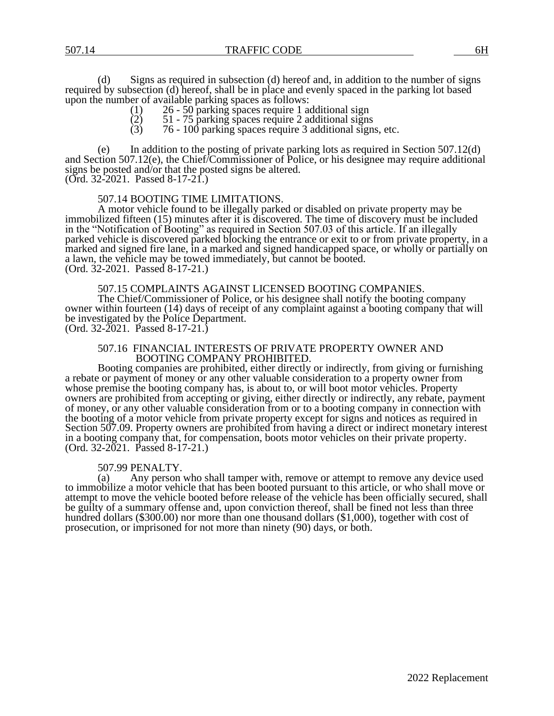(d) Signs as required in subsection (d) hereof and, in addition to the number of signs required by subsection (d) hereof, shall be in place and evenly spaced in the parking lot based upon the number of available parking spaces as follows:<br>(1)  $26 - 50$  parking spaces require 1 as

- 
- (1) 26 50 parking spaces require 1 additional sign<br>
(2) 51 75 parking spaces require 2 additional signs<br>
(3) 76 100 parking spaces require 3 additional sign  $(2)$  51 - 75 parking spaces require 2 additional signs
- $(3)$  76 100 parking spaces require 3 additional signs, etc.

In addition to the posting of private parking lots as required in Section  $507.12(d)$ and Section 507.12(e), the Chief/Commissioner of Police, or his designee may require additional signs be posted and/or that the posted signs be altered. (Ord. 32-2021. Passed 8-17-21.)

## 507.14 BOOTING TIME LIMITATIONS.

A motor vehicle found to be illegally parked or disabled on private property may be immobilized fifteen (15) minutes after it is discovered. The time of discovery must be included in the "Notification of Booting" as required in Section 507.03 of this article. If an illegally parked vehicle is discovered parked blocking the entrance or exit to or from private property, in a marked and signed fire lane, in a marked and signed handicapped space, or wholly or partially on a lawn, the vehicle may be towed immediately, but cannot be booted. (Ord. 32-2021. Passed 8-17-21.)

## 507.15 COMPLAINTS AGAINST LICENSED BOOTING COMPANIES.

The Chief/Commissioner of Police, or his designee shall notify the booting company owner within fourteen (14) days of receipt of any complaint against a booting company that will be investigated by the Police Department.

(Ord. 32-2021. Passed 8-17-21.)

#### 507.16 FINANCIAL INTERESTS OF PRIVATE PROPERTY OWNER AND BOOTING COMPANY PROHIBITED.

Booting companies are prohibited, either directly or indirectly, from giving or furnishing a rebate or payment of money or any other valuable consideration to a property owner from whose premise the booting company has, is about to, or will boot motor vehicles. Property owners are prohibited from accepting or giving, either directly or indirectly, any rebate, payment of money, or any other valuable consideration from or to a booting company in connection with the booting of a motor vehicle from private property except for signs and notices as required in Section 507.09. Property owners are prohibited from having a direct or indirect monetary interest in a booting company that, for compensation, boots motor vehicles on their private property. (Ord. 32-2021. Passed 8-17-21.)

#### 507.99 PENALTY.

(a) Any person who shall tamper with, remove or attempt to remove any device used to immobilize a motor vehicle that has been booted pursuant to this article, or who shall move or attempt to move the vehicle booted before release of the vehicle has been officially secured, shall be guilty of a summary offense and, upon conviction thereof, shall be fined not less than three hundred dollars (\$300.00) nor more than one thousand dollars (\$1,000), together with cost of prosecution, or imprisoned for not more than ninety (90) days, or both.